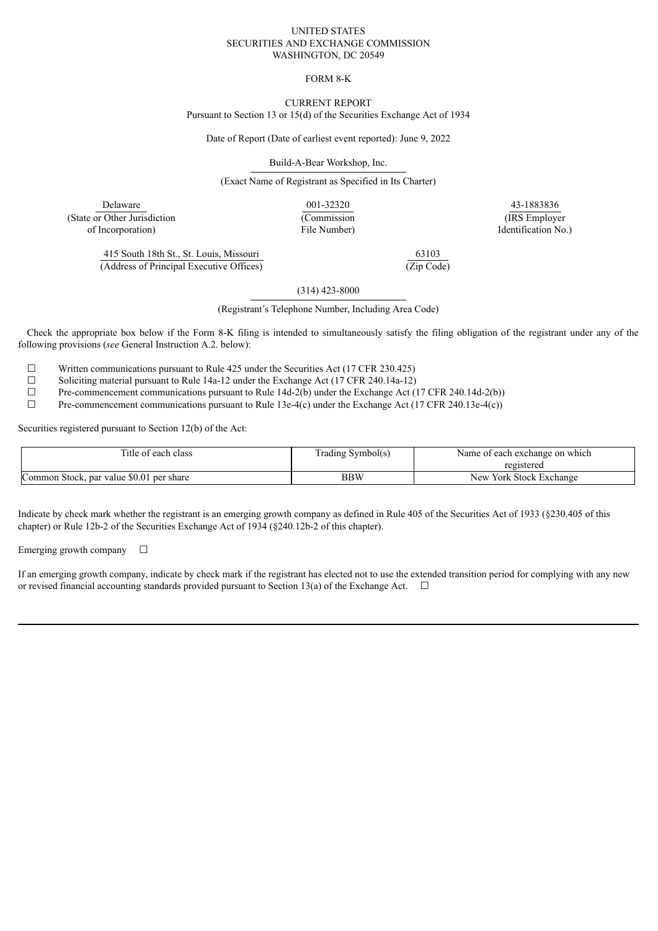#### UNITED STATES SECURITIES AND EXCHANGE COMMISSION WASHINGTON, DC 20549

### FORM 8-K

# CURRENT REPORT

Pursuant to Section 13 or 15(d) of the Securities Exchange Act of 1934

Date of Report (Date of earliest event reported): June 9, 2022

Build-A-Bear Workshop, Inc.

(Exact Name of Registrant as Specified in Its Charter)

Delaware (State or Other Jurisdiction of Incorporation)

001-32320 (Commission File Number)

43-1883836 (IRS Employer Identification No.)

415 South 18th St., St. Louis, Missouri (Address of Principal Executive Offices)

63103 (Zip Code)

(314) 423-8000

(Registrant's Telephone Number, Including Area Code)

Check the appropriate box below if the Form 8-K filing is intended to simultaneously satisfy the filing obligation of the registrant under any of the following provisions (*see* General Instruction A.2. below):

 $\Box$  Written communications pursuant to Rule 425 under the Securities Act (17 CFR 230.425)<br>Soliciting material pursuant to Rule 14a-12 under the Exchange Act (17 CFR 240.14a-12)

□ Soliciting material pursuant to Rule 14a-12 under the Exchange Act (17 CFR 240.14a-12)<br>
Pre-commencement communications pursuant to Rule 14d-2(b) under the Exchange Act (

 $\Box$  Pre-commencement communications pursuant to Rule 14d-2(b) under the Exchange Act (17 CFR 240.14d-2(b))<br>Pre-commencement communications pursuant to Rule 13e-4(c) under the Exchange Act (17 CFR 240.13e-4(c))

Pre-commencement communications pursuant to Rule 13e-4(c) under the Exchange Act (17 CFR 240.13e-4(c))

Securities registered pursuant to Section 12(b) of the Act:

| Title of each class                      | $\mathbf{r}$<br>Frading Symbol(s) | Name of each exchange on which |  |
|------------------------------------------|-----------------------------------|--------------------------------|--|
|                                          |                                   | registered                     |  |
| Common Stock, par value \$0.01 per share | BBW                               | New York Stock Exchange        |  |

Indicate by check mark whether the registrant is an emerging growth company as defined in Rule 405 of the Securities Act of 1933 (§230.405 of this chapter) or Rule 12b-2 of the Securities Exchange Act of 1934 (§240.12b-2 of this chapter).

Emerging growth company  $\Box$ 

If an emerging growth company, indicate by check mark if the registrant has elected not to use the extended transition period for complying with any new or revised financial accounting standards provided pursuant to Section 13(a) of the Exchange Act.  $\Box$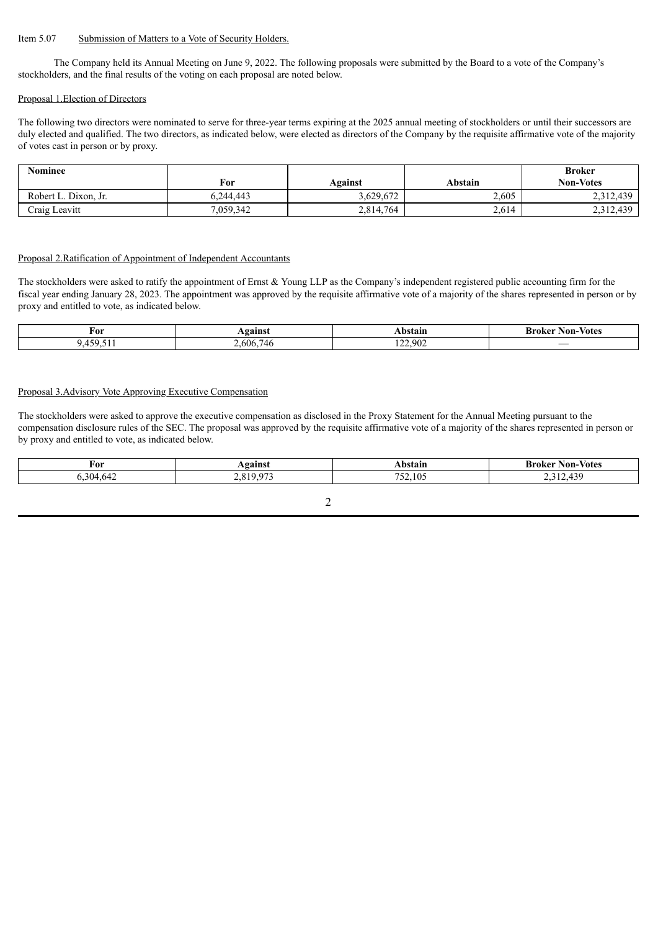## Item 5.07 Submission of Matters to a Vote of Security Holders.

The Company held its Annual Meeting on June 9, 2022. The following proposals were submitted by the Board to a vote of the Company's stockholders, and the final results of the voting on each proposal are noted below.

#### Proposal 1.Election of Directors

The following two directors were nominated to serve for three-year terms expiring at the 2025 annual meeting of stockholders or until their successors are duly elected and qualified. The two directors, as indicated below, were elected as directors of the Company by the requisite affirmative vote of the majority of votes cast in person or by proxy.

| Nominee              |           |           |         | <b>Broker</b>    |
|----------------------|-----------|-----------|---------|------------------|
|                      | For       | Against   | Abstain | <b>Non-Votes</b> |
| Robert L. Dixon. Jr. | 6.244.443 | 3,629,672 | 2,605   | 2,312,439        |
| Craig Leavitt        | 7,059,342 | 2,814,764 | 2,614   | 2,312,439        |

#### Proposal 2.Ratification of Appointment of Independent Accountants

The stockholders were asked to ratify the appointment of Ernst & Young LLP as the Company's independent registered public accounting firm for the fiscal year ending January 28, 2023. The appointment was approved by the requisite affirmative vote of a majority of the shares represented in person or by proxy and entitled to vote, as indicated below.

| For                                                      | Vøainst       | Abstain                        | -Votes<br>Non-<br>$-$ roller $-$<br>ш |
|----------------------------------------------------------|---------------|--------------------------------|---------------------------------------|
| $-1$<br>$\epsilon$<br>456<br>$\sqrt{ }$<br>、・・・・・<br>. . | 2.606.<br>746 | ാര വര<br>. 20Z<br>. <i>. .</i> | $\overline{\phantom{a}}$              |

## Proposal 3.Advisory Vote Approving Executive Compensation

The stockholders were asked to approve the executive compensation as disclosed in the Proxy Statement for the Annual Meeting pursuant to the compensation disclosure rules of the SEC. The proposal was approved by the requisite affirmative vote of a majority of the shares represented in person or by proxy and entitled to vote, as indicated below.

| For                    | oainc) | . янг                       | .-Voter<br>Non- |
|------------------------|--------|-----------------------------|-----------------|
| 20<br>-511/5<br>$\sim$ |        | ---<br>$\sim$<br>. I V<br>◡ | 121             |